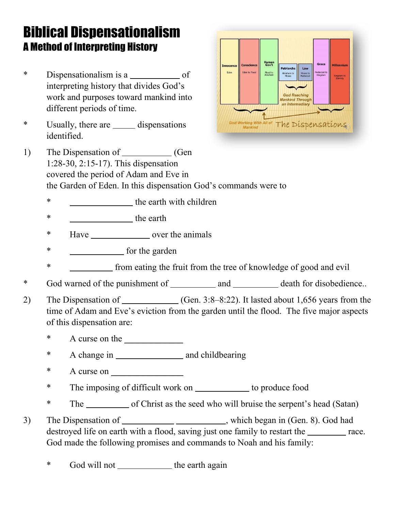## Biblical Dispensationalism A Method of Interpreting History

- \* Dispensationalism is aof interpreting history that divides God's work and purposes toward mankind into different periods of time.
- \* Usually, there aredispensations identified.



- 1) The Dispensation of <u>Community (Gene</u> 1:28-30, 2:15-17). This dispensation covered the period of Adam and Eve in the Garden of Eden. In this dispensation God's commands were to
	- \*the earth with children
	- \*the earth
	- \* Have \_\_\_\_\_\_\_\_\_\_\_\_\_\_\_\_\_\_ over the animals
	- \* **for the garden**
	- \*from eating the fruit from the tree of knowledge of good and evil
- \* God warned of the punishment ofanddeath for disobedience..
- 2) The Dispensation of \_\_\_\_\_\_\_\_\_\_\_(Gen. 3:8–8:22). It lasted about 1,656 years from the time of Adam and Eve's eviction from the garden until the flood. The five major aspects of this dispensation are:
	- \* A curse on the
	- \* A change in **<u>extends and childbearing</u>**
	- \* A curse on
	- \* The imposing of difficult work on **with the integral conduct** food
	- \* The of Christ as the seed who will bruise the serpent's head (Satan)
- 3) The Dispensation of \_\_\_\_\_\_\_\_\_\_\_\_\_\_\_\_\_\_\_\_\_\_\_\_\_\_, which began in (Gen. 8). God had destroyed life on earth with a flood, saving just one family to restart the <u>race</u>. God made the following promises and commands to Noah and his family:
	- God will not **the earth** again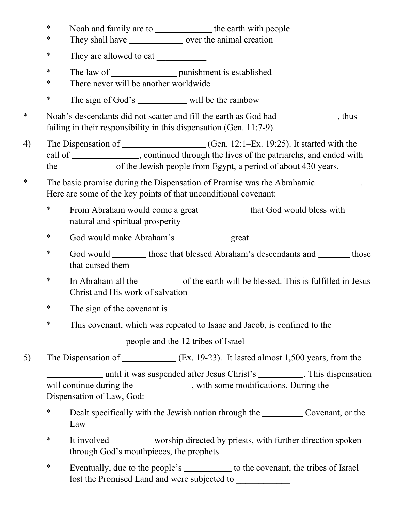- \* Noah and family are to the earth with people
- \* They shall have \_\_\_\_\_\_\_\_\_\_\_\_\_\_\_\_ over the animal creation
- \* They are allowed to eat **\_\_\_\_\_\_\_\_\_\_\_**
- \* The law of <u>containing the punishment is established</u>
- \* There never will be another worldwide
- \* The sign of God'swill be the rainbow
- \* Noah's descendants did not scatter and fill the earth as God had \_\_\_\_\_\_\_\_\_\_\_\_, thus failing in their responsibility in this dispensation (Gen. 11:7-9).
- 4) The Dispensation of \_\_\_\_\_\_\_\_\_\_\_\_\_\_\_\_\_\_\_\_(Gen. 12:1–Ex. 19:25). It started with the call of *call of , continued through the lives of the patriarchs, and ended with* the of the Jewish people from Egypt, a period of about 430 years.
- \* The basic promise during the Dispensation of Promise was the Abrahamic. Here are some of the key points of that unconditional covenant:
	- \* From Abraham would come a great \_\_\_\_\_\_\_\_\_\_\_ that God would bless with natural and spiritual prosperity
	- \* God would make Abraham'sgreat
	- \* God would those that blessed Abraham's descendants and those that cursed them
	- \* In Abraham all the original the sarth will be blessed. This is fulfilled in Jesus Christ and His work of salvation
	- \* The sign of the covenant is
	- \* This covenant, which was repeated to Isaac and Jacob, is confined to the

**12** people and the 12 tribes of Israel

5) The Dispensation of(Ex. 19-23). It lasted almost 1,500 years, from the

**2008 2018 2018 2018 2018 2018 2018 2018 2018 2018 2018 2018 2018 2018 2018 2018 2018 2018 2018 2018 2018 2018 2018 2018 2018 2019 2018 2019** will continue during the \_\_\_\_\_\_\_\_\_\_\_\_, with some modifications. During the Dispensation of Law, God:

- \* Dealt specifically with the Jewish nation through the <u>call Covenant</u>, or the Law
- \* It involvedworship directed by priests, with further direction spoken through God's mouthpieces, the prophets
- \* Eventually, due to the people'sto the covenant, the tribes of Israel lost the Promised Land and were subjected to